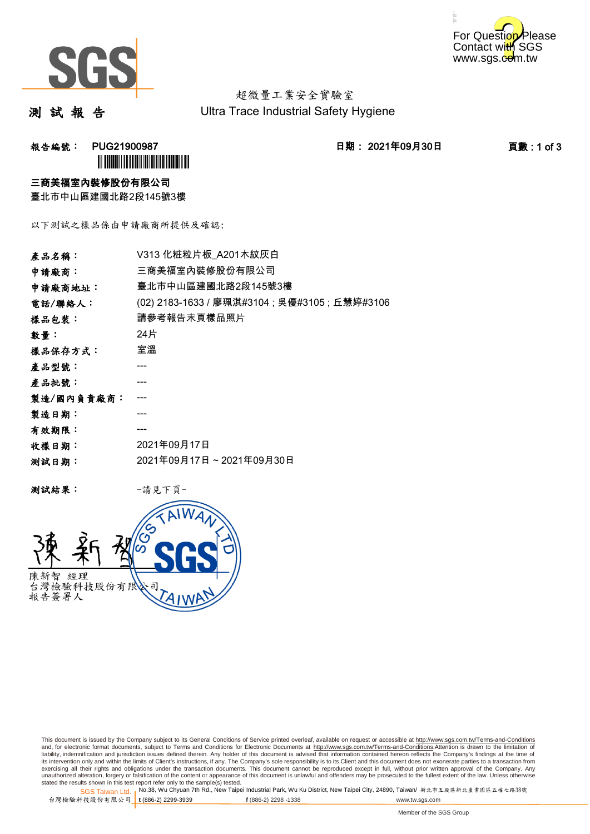



超微量工業安全實驗室 Ultra Trace Industrial Safety Hygiene

測 試 報 告

報告編號: PUG21900987 日期: 2021年09月30日 頁數 : 1 of 3 **ÌN BUGATH I DE LA BILITAN DE LA BILITAN DE LA BI** 

#### 三商美福室內裝修股份有限公司

臺北市中山區建國北路2段145號3樓

以下測試之樣品係由申請廠商所提供及確認:

| 產品名稱:      | V313 化粧粒片板 A201木紋灰白                            |
|------------|------------------------------------------------|
| 申請廠商:      | 三商美福室內裝修股份有限公司                                 |
| 申請廠商地址:    | 臺北市中山區建國北路2段145號3樓                             |
| 電話/聯絡人:    | (02) 2183-1633 / 廖珮淇#3104 ; 吳優#3105 ; 丘慧婷#3106 |
| 樣品包裝:      | 請參考報告末頁樣品照片                                    |
| 數量:        | 24片                                            |
| 樣品保存方式:    | 室溫                                             |
| 產品型號:      |                                                |
| 產品批號:      |                                                |
| 製造/國內負責廠商: |                                                |
| 製造日期:      |                                                |
| 有效期限:      |                                                |
| 收樣日期:      | 2021年09月17日                                    |
| 测試日期:      | 2021年09月17日~2021年09月30日                        |
|            |                                                |

测試結果: 一請見下頁



This document is issued by the Company subject to its General Conditions of Service printed overleaf, available on request or accessible at http://www.sgs.com.tw/Terms-and-Conditions and, for electronic format documents, subject to Terms and Conditions for Electronic Documents at <u>http://www.sgs.com.tw/Terms-and-Conditions</u>.Attention is drawn to the limitation of<br>liability, indemnification and jurisdic exercising all their rights and obligations under the transaction documents. This document cannot be reproduced except in full, without prior written approval of the Company. Any<br>unauthorized alteration, forgery or falsifi

SGS Taiwan Ltd. 1 stated the results shown in this test report refer only to the sample(s) tested.<br>Stated the results shown in this test report refer only to the sample(s) tested.

台灣檢驗科技股份有限公司

```
t (886-2) 2299-3939 f (886-2) 2298 -1338 www.tw.sgs.com
```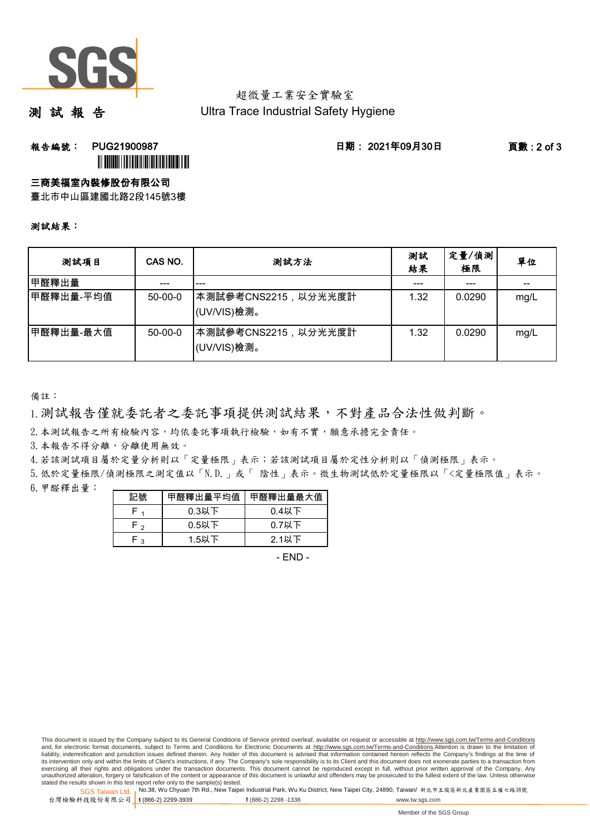

### 超微量工業安全實驗室 Ultra Trace Industrial Safety Hygiene

測 試 報 告

**報告編號: PUG21900987 日期: 2021年09月30日 頁數:2 of 3** 

# **III DUANII IIII DUANII III**

#### 三商美福室內裝修股份有限公司

臺北市中山區建國北路2段145號3樓

#### 測試結果:

| 测試項目       | CAS NO.   | 測試方法                                | 測試<br>結果 | 定量/偵測<br>極限 | 單位                                    |
|------------|-----------|-------------------------------------|----------|-------------|---------------------------------------|
| 甲醛釋出量      | ---       | $- - -$                             | ---      | $--$        | $\hspace{0.05cm}$ – $\hspace{0.05cm}$ |
| ┃甲醛釋出量-平均值 | $50-00-0$ | ┃本測試參考CNS2215,以分光光度計<br>(UV/VIS)檢測。 | 1.32     | 0.0290      | mg/L                                  |
| ┃甲醛釋出量-最大值 | $50-00-0$ | 本測試參考CNS2215,以分光光度計 <br>(UV/VIS)檢測。 | 1.32     | 0.0290      | mg/L                                  |

備註:

1.測試報告僅就委託者之委託事項提供測試結果,不對產品合法性做判斷。

2. 本測試報告之所有檢驗內容,均依委託事項執行檢驗,如有不實,願意承擔完全責任。

3. 本報告不得分離,分離使用無效。

4.若該測試項目屬於定量分析則以「定量極限」表示;若該測試項目屬於定性分析則以「偵測極限」表示。

6.甲醛釋出量: 5.低於定量極限/偵測極限之測定值以「N.D.」或「 陰性」表示。微生物測試低於定量極限以「<定量極限值」表示。

| 記號   | 甲醛釋出量平均值 | 甲醛釋出量最大值 |
|------|----------|----------|
|      | $0.3$ 以下 | $0.4$ 以下 |
| ه -ا | $0.5$ 以下 | $0.7$ 以下 |
| ່າ   | 1.5以下    | $2.1$ 以下 |

- END -

SGS Taiwan Ltd. 1 stated the results shown in this test report refer only to the sample(s) tested.<br>Stated the results shown in this test report refer only to the sample(s) tested.

台灣檢驗科技股份有限公司

This document is issued by the Company subject to its General Conditions of Service printed overleaf, available on request or accessible at http://www.sgs.com.tw/Terms-and-Conditions and, for electronic format documents, subject to Terms and Conditions for Electronic Documents at http://www.sgs.com.tw/Terms-and-Conditions.Attention is drawn to the limitation of liability, indemnification and jurisdiction issues defined therein. Any holder of this document is advised that information contained hereon reflects the Company's findings at the time of<br>its intervention only and within t exercising all their rights and obligations under the transaction documents. This document cannot be reproduced except in full, without prior written approval of the Company. Any<br>unauthorized alteration, forgery or falsifi